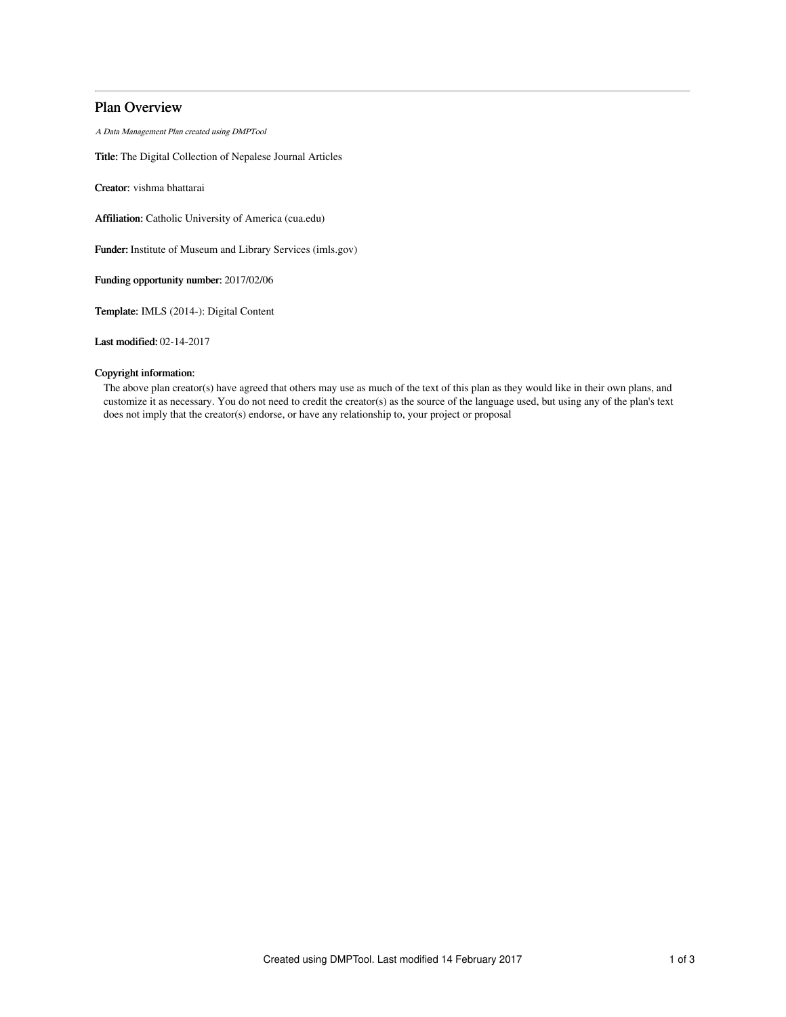# Plan Overview

A Data Management Plan created using DMPTool

Title: The Digital Collection of Nepalese Journal Articles

Creator: vishma bhattarai

Affiliation: Catholic University of America (cua.edu)

Funder: Institute of Museum and Library Services (imls.gov)

Funding opportunity number: 2017/02/06

Template: IMLS (2014-): Digital Content

Last modified: 02-14-2017

# Copyright information:

The above plan creator(s) have agreed that others may use as much of the text of this plan as they would like in their own plans, and customize it as necessary. You do not need to credit the creator(s) as the source of the language used, but using any of the plan's text does not imply that the creator(s) endorse, or have any relationship to, your project or proposal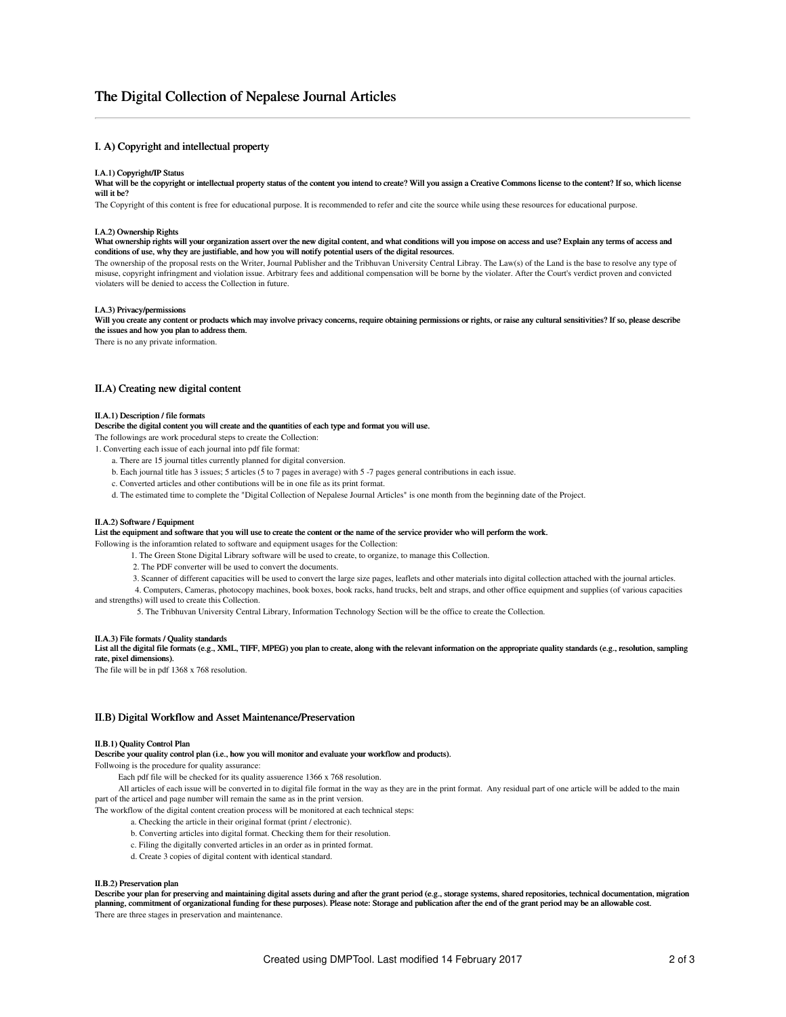# The Digital Collection of Nepalese Journal Articles

# I. A) Copyright and intellectual property

#### I.A.1) Copyright/IP Status

What will be the copyright or intellectual property status of the content you intend to create? Will you assign a Creative Commons license to the content? If so, which license will it be?

The Copyright of this content is free for educational purpose. It is recommended to refer and cite the source while using these resources for educational purpose.

#### I.A.2) Ownership Rights

What ownership rights will your organization assert over the new digital content, and what conditions will you impose on access and use? Explain any terms of access and conditions of use, why they are justifiable, and how you will notify potential users of the digital resources.

The ownership of the proposal rests on the Writer, Journal Publisher and the Tribhuvan University Central Libray. The Law(s) of the Land is the base to resolve any type of misuse, copyright infringment and violation issue. Arbitrary fees and additional compensation will be borne by the violater. After the Court's verdict proven and convicted violaters will be denied to access the Collection in future.

## I.A.3) Privacy/permissions

Will you create any content or products which may involve privacy concerns, require obtaining permissions or rights, or raise any cultural sensitivities? If so, please describe the issues and how you plan to address them.

There is no any private information.

## II.A) Creating new digital content

### II.A.1) Description / file formats

#### Describe the digital content you will create and the quantities of each type and format you will use.

The followings are work procedural steps to create the Collection:

1. Converting each issue of each journal into pdf file format:

- a. There are 15 journal titles currently planned for digital conversion.
- b. Each journal title has 3 issues; 5 articles (5 to 7 pages in average) with 5 -7 pages general contributions in each issue.
- c. Converted articles and other contibutions will be in one file as its print format.
- d. The estimated time to complete the "Digital Collection of Nepalese Journal Articles" is one month from the beginning date of the Project.

### II.A.2) Software / Equipment

List the equipment and software that you will use to create the content or the name of the service provider who will perform the work.

Following is the inforamtion related to software and equipment usages for the Collection:

1. The Green Stone Digital Library software will be used to create, to organize, to manage this Collection.

2. The PDF converter will be used to convert the documents.

3. Scanner of different capacities will be used to convert the large size pages, leaflets and other materials into digital collection attached with the journal articles.

4. Computers, Cameras, photocopy machines, book boxes, book racks, hand trucks, belt and straps, and other office equipment and supplies (of various capacities

and strengths) will used to create this Collection.

5. The Tribhuvan University Central Library, Information Technology Section will be the office to create the Collection.

#### II.A.3) File formats / Quality standards

List all the digital file formats (e.g., XML, TIFF, MPEG) you plan to create, along with the relevant information on the appropriate quality standards (e.g., resolution, sampling rate, pixel dimensions).

The file will be in pdf 1368 x 768 resolution.

# II.B) Digital Workflow and Asset Maintenance/Preservation

#### II.B.1) Quality Control Plan

Describe your quality control plan (i.e., how you will monitor and evaluate your workflow and products).

Follwoing is the procedure for quality assurance:

Each pdf file will be checked for its quality assuerence 1366 x 768 resolution.

All articles of each issue will be converted in to digital file format in the way as they are in the print format. Any residual part of one article will be added to the main part of the articel and page number will remain the same as in the print version.

The workflow of the digital content creation process will be monitored at each technical steps:

- a. Checking the article in their original format (print / electronic).
- b. Converting articles into digital format. Checking them for their resolution.
- c. Filing the digitally converted articles in an order as in printed format.
- d. Create 3 copies of digital content with identical standard.

#### II.B.2) Preservation plan

Describe your plan for preserving and maintaining digital assets during and after the grant period (e.g., storage systems, shared repositories, technical documentation, migration planning, commitment of organizational funding for these purposes). Please note: Storage and publication after the end of the grant period may be an allowable cost. There are three stages in preservation and maintenance.